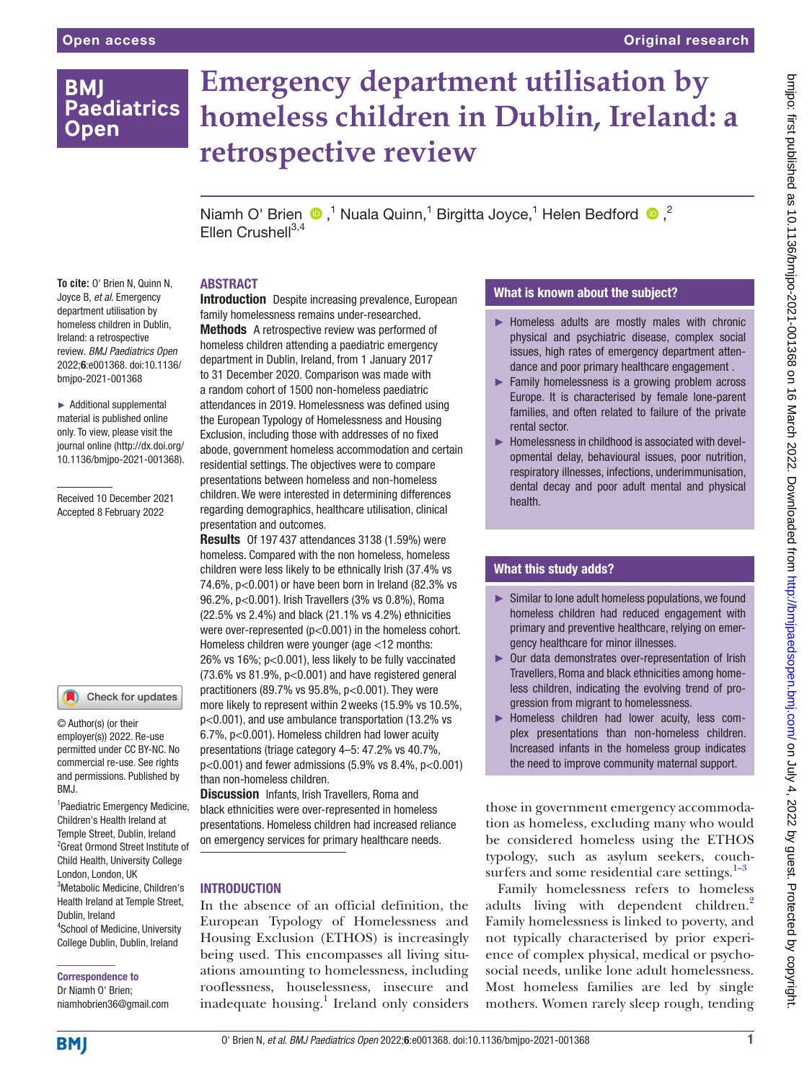# **BMI Paediatrics Open**

# **Emergency department utilisation by homeless children in Dublin, Ireland: a retrospective review**

Niamh O' Brien  $\bigcirc$ ,<sup>1</sup> Nuala Quinn,<sup>1</sup> Birgitta Joyce,<sup>1</sup> Helen Bedford  $\bigcirc$ ,<sup>2</sup> Ellen Crushell $^{3,4}$ 

# ABSTRACT

**To cite:** O' Brien N, Quinn N, Joyce B, *et al*. Emergency department utilisation by homeless children in Dublin, Ireland: a retrospective review. *BMJ Paediatrics Open* 2022;6:e001368. doi:10.1136/ bmjpo-2021-001368

► Additional supplemental material is published online only. To view, please visit the journal online ([http://dx.doi.org/](http://dx.doi.org/10.1136/bmjpo-2021-001368) [10.1136/bmjpo-2021-001368\)](http://dx.doi.org/10.1136/bmjpo-2021-001368).

Received 10 December 2021 Accepted 8 February 2022

#### Check for updates

© Author(s) (or their employer(s)) 2022. Re-use permitted under CC BY-NC. No commercial re-use. See rights and permissions. Published by BMJ.

1 Paediatric Emergency Medicine, Children's Health Ireland at Temple Street, Dublin, Ireland 2 Great Ormond Street Institute of Child Health, University College London, London, UK 3 Metabolic Medicine, Children's Health Ireland at Temple Street, Dublin, Ireland 4 School of Medicine, University College Dublin, Dublin, Ireland

Correspondence to

Dr Niamh O' Brien; niamhobrien36@gmail.com **Introduction** Despite increasing prevalence, European family homelessness remains under-researched. Methods A retrospective review was performed of homeless children attending a paediatric emergency department in Dublin, Ireland, from 1 January 2017 to 31 December 2020. Comparison was made with a random cohort of 1500 non-homeless paediatric attendances in 2019. Homelessness was defined using the European Typology of Homelessness and Housing Exclusion, including those with addresses of no fixed abode, government homeless accommodation and certain residential settings. The objectives were to compare presentations between homeless and non-homeless children. We were interested in determining differences regarding demographics, healthcare utilisation, clinical presentation and outcomes.

Results Of 197 437 attendances 3138 (1.59%) were homeless. Compared with the non homeless, homeless children were less likely to be ethnically Irish (37.4% vs 74.6%, p<0.001) or have been born in Ireland (82.3% vs 96.2%, p<0.001). Irish Travellers (3% vs 0.8%), Roma (22.5% vs 2.4%) and black (21.1% vs 4.2%) ethnicities were over-represented (p<0.001) in the homeless cohort. Homeless children were younger (age <12 months: 26% vs 16%; p<0.001), less likely to be fully vaccinated  $(73.6\%$  vs  $81.9\%$ ,  $p<0.001$ ) and have registered general practitioners (89.7% vs 95.8%, p<0.001). They were more likely to represent within 2weeks (15.9% vs 10.5%, p<0.001), and use ambulance transportation (13.2% vs 6.7%, p<0.001). Homeless children had lower acuity presentations (triage category 4–5: 47.2% vs 40.7%, p<0.001) and fewer admissions (5.9% vs 8.4%, p<0.001) than non-homeless children.

Discussion Infants, Irish Travellers, Roma and black ethnicities were over-represented in homeless presentations. Homeless children had increased reliance on emergency services for primary healthcare needs.

## **INTRODUCTION**

In the absence of an official definition, the European Typology of Homelessness and Housing Exclusion (ETHOS) is increasingly being used. This encompasses all living situations amounting to homelessness, including rooflessness, houselessness, insecure and inadequate housing.<sup>1</sup> Ireland only considers

# What is known about the subject?

- ► Homeless adults are mostly males with chronic physical and psychiatric disease, complex social issues, high rates of emergency department attendance and poor primary healthcare engagement .
- ► Family homelessness is a growing problem across Europe. It is characterised by female lone-parent families, and often related to failure of the private rental sector.
- ► Homelessness in childhood is associated with developmental delay, behavioural issues, poor nutrition, respiratory illnesses, infections, underimmunisation, dental decay and poor adult mental and physical health.

# What this study adds?

- ► Similar to lone adult homeless populations, we found homeless children had reduced engagement with primary and preventive healthcare, relying on emergency healthcare for minor illnesses.
- ► Our data demonstrates over-representation of Irish Travellers, Roma and black ethnicities among homeless children, indicating the evolving trend of progression from migrant to homelessness.
- ► Homeless children had lower acuity, less complex presentations than non-homeless children. Increased infants in the homeless group indicates the need to improve community maternal support.

those in government emergency accommodation as homeless, excluding many who would be considered homeless using the ETHOS typology, such as asylum seekers, couch-surfers and some residential care settings.<sup>[1–3](#page-6-0)</sup>

Family homelessness refers to homeless adults living with dependent children.<sup>[2](#page-6-1)</sup> Family homelessness is linked to poverty, and not typically characterised by prior experience of complex physical, medical or psychosocial needs, unlike lone adult homelessness. Most homeless families are led by single mothers. Women rarely sleep rough, tending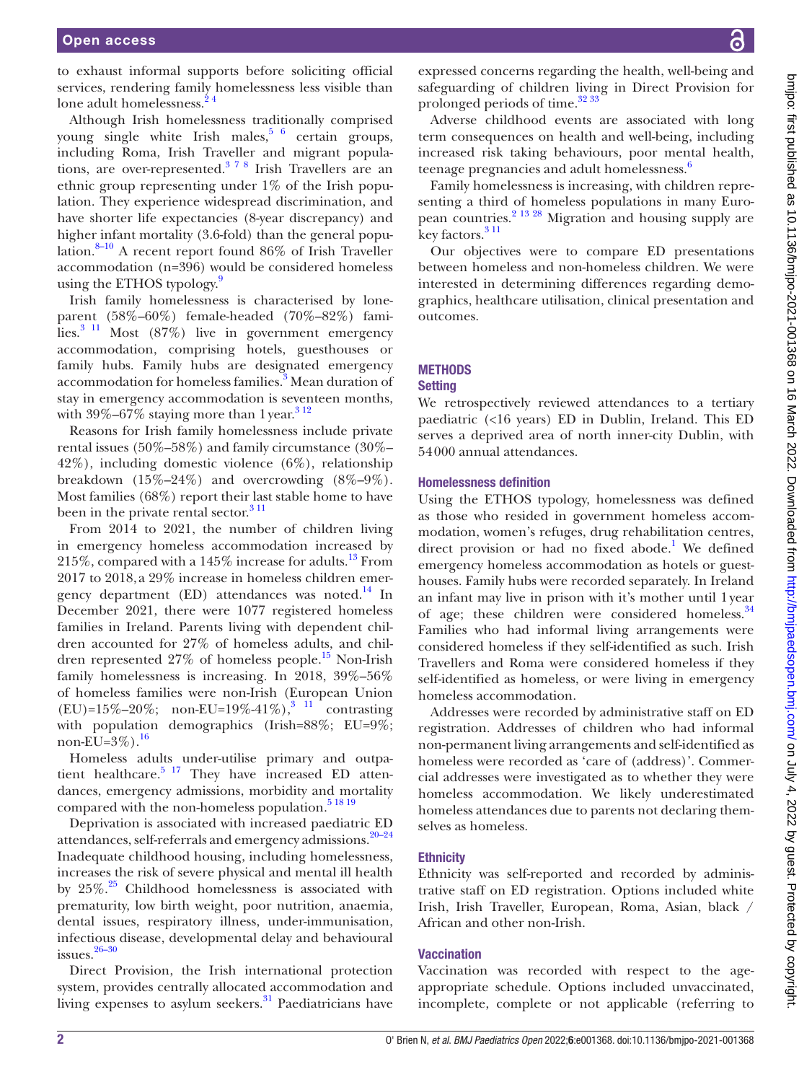to exhaust informal supports before soliciting official services, rendering family homelessness less visible than lone adult homelessness.<sup>24</sup>

Although Irish homelessness traditionally comprised young single white Irish males,  $6 \text{ certain groups}$ , including Roma, Irish Traveller and migrant populations, are over-represented[.3 7 8](#page-6-3) Irish Travellers are an ethnic group representing under 1% of the Irish population. They experience widespread discrimination, and have shorter life expectancies (8-year discrepancy) and higher infant mortality (3.6-fold) than the general popu-lation.<sup>[8–10](#page-6-4)</sup> A recent report found 86% of Irish Traveller accommodation (n=396) would be considered homeless using the ETHOS typology.<sup>[9](#page-6-5)</sup>

Irish family homelessness is characterised by loneparent (58%–60%) female-headed (70%–82%) families. $3 \text{ } 11$  Most (87%) live in government emergency accommodation, comprising hotels, guesthouses or family hubs. Family hubs are designated emergency accommodation for homeless families.<sup>[3](#page-6-3)</sup> Mean duration of stay in emergency accommodation is seventeen months, with 39%–67% staying more than  $1$  year. $^{3\,12}$ 

Reasons for Irish family homelessness include private rental issues (50%–58%) and family circumstance (30%–  $42\%$ ), including domestic violence  $(6\%)$ , relationship breakdown  $(15\%-24\%)$  and overcrowding  $(8\%-9\%)$ . Most families (68%) report their last stable home to have been in the private rental sector.<sup>311</sup>

From 2014 to 2021, the number of children living in emergency homeless accommodation increased by 215%, compared with a 145% increase for adults.<sup>13</sup> From 2017 to 2018, a 29% increase in homeless children emergency department (ED) attendances was noted.<sup>14</sup> In December 2021, there were 1077 registered homeless families in Ireland. Parents living with dependent children accounted for 27% of homeless adults, and children represented  $27\%$  of homeless people.<sup>15</sup> Non-Irish family homelessness is increasing. In 2018, 39%–56% of homeless families were non-Irish (European Union  $(EU)=15\% - 20\%;$  non-EU=19%-41%),<sup>3</sup><sup>11</sup> contrasting with population demographics (Irish=88%; EU=9%; non-EU= $3\%$ ).<sup>[16](#page-7-3)</sup>

Homeless adults under-utilise primary and outpatient healthcare.<sup>5 17</sup> They have increased ED attendances, emergency admissions, morbidity and mortality compared with the non-homeless population. $51819$ 

Deprivation is associated with increased paediatric ED attendances, self-referrals and emergency admissions.[20–24](#page-7-4) Inadequate childhood housing, including homelessness, increases the risk of severe physical and mental ill health by  $25\%$  $25\%$ .<sup>25</sup> Childhood homelessness is associated with prematurity, low birth weight, poor nutrition, anaemia, dental issues, respiratory illness, under-immunisation, infectious disease, developmental delay and behavioural issues.[26–30](#page-7-6)

Direct Provision, the Irish international protection system, provides centrally allocated accommodation and living expenses to asylum seekers.<sup>31</sup> Paediatricians have

expressed concerns regarding the health, well-being and safeguarding of children living in Direct Provision for prolonged periods of time. $3233$ 

Adverse childhood events are associated with long term consequences on health and well-being, including increased risk taking behaviours, poor mental health, teenage pregnancies and adult homelessness.<sup>6</sup>

Family homelessness is increasing, with children representing a third of homeless populations in many European countries[.2 13 28](#page-6-1) Migration and housing supply are key factors.[3 11](#page-6-3)

Our objectives were to compare ED presentations between homeless and non-homeless children. We were interested in determining differences regarding demographics, healthcare utilisation, clinical presentation and outcomes.

# **METHODS**

# **Setting**

We retrospectively reviewed attendances to a tertiary paediatric (<16 years) ED in Dublin, Ireland. This ED serves a deprived area of north inner-city Dublin, with 54000 annual attendances.

#### Homelessness definition

Using the ETHOS typology, homelessness was defined as those who resided in government homeless accommodation, women's refuges, drug rehabilitation centres, direct provision or had no fixed abode.<sup>[1](#page-6-0)</sup> We defined emergency homeless accommodation as hotels or guesthouses. Family hubs were recorded separately. In Ireland an infant may live in prison with it's mother until 1year of age; these children were considered homeless.<sup>[34](#page-7-9)</sup> Families who had informal living arrangements were considered homeless if they self-identified as such. Irish Travellers and Roma were considered homeless if they self-identified as homeless, or were living in emergency homeless accommodation.

Addresses were recorded by administrative staff on ED registration. Addresses of children who had informal non-permanent living arrangements and self-identified as homeless were recorded as 'care of (address)'. Commercial addresses were investigated as to whether they were homeless accommodation. We likely underestimated homeless attendances due to parents not declaring themselves as homeless.

#### **Ethnicity**

Ethnicity was self-reported and recorded by administrative staff on ED registration. Options included white Irish, Irish Traveller, European, Roma, Asian, black / African and other non-Irish.

#### **Vaccination**

Vaccination was recorded with respect to the ageappropriate schedule. Options included unvaccinated, incomplete, complete or not applicable (referring to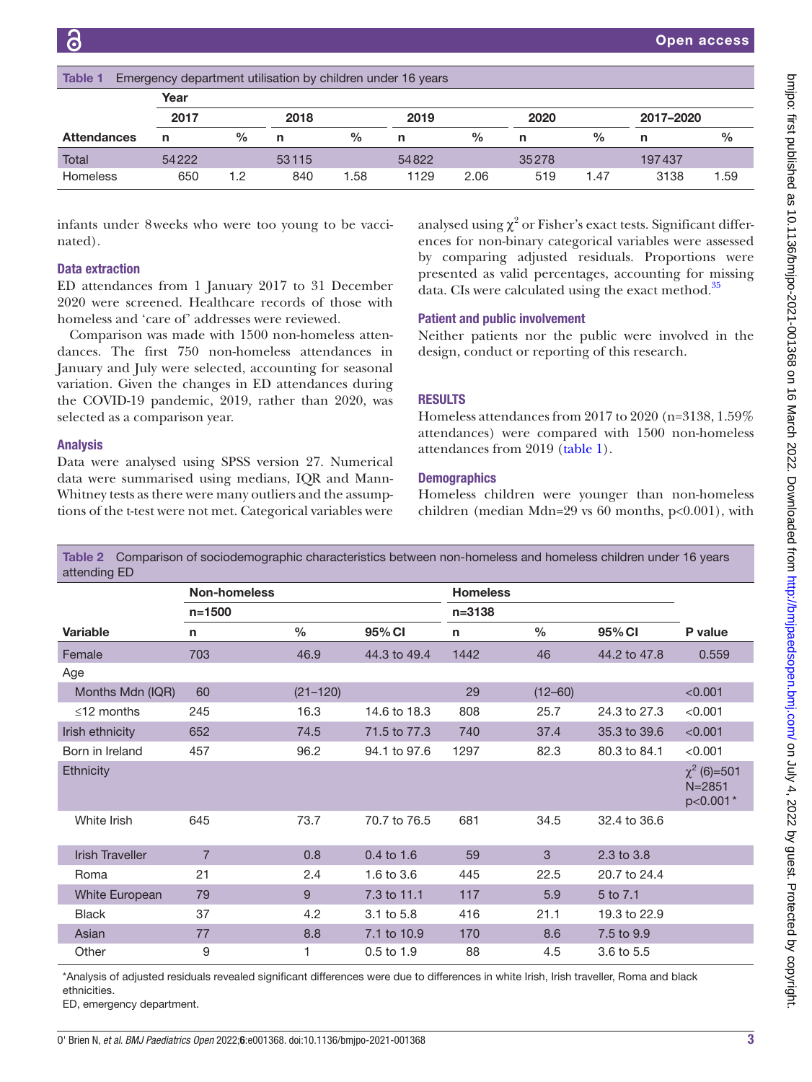<span id="page-2-0"></span>

| <b>Table 1</b><br>Emergency department utilisation by children under 16 years |       |      |       |               |       |               |       |               |        |               |
|-------------------------------------------------------------------------------|-------|------|-------|---------------|-------|---------------|-------|---------------|--------|---------------|
|                                                                               | Year  |      |       |               |       |               |       |               |        |               |
| 2017                                                                          |       | 2018 |       | 2019          |       | 2020          |       | 2017-2020     |        |               |
| <b>Attendances</b>                                                            | n     | $\%$ | n     | $\frac{0}{0}$ | n     | $\frac{0}{0}$ | n     | $\frac{0}{0}$ | n      | $\frac{0}{0}$ |
| Total                                                                         | 54222 |      | 53115 |               | 54822 |               | 35278 |               | 197437 |               |
| Homeless                                                                      | 650   | 1.2  | 840   | 1.58          | 1129  | 2.06          | 519   | 1.47          | 3138   | 1.59          |
|                                                                               |       |      |       |               |       |               |       |               |        |               |

infants under 8weeks who were too young to be vaccinated).

#### Data extraction

ED attendances from 1 January 2017 to 31 December 2020 were screened. Healthcare records of those with homeless and 'care of' addresses were reviewed.

Comparison was made with 1500 non-homeless attendances. The first 750 non-homeless attendances in January and July were selected, accounting for seasonal variation. Given the changes in ED attendances during the COVID-19 pandemic, 2019, rather than 2020, was selected as a comparison year.

#### Analysis

Data were analysed using SPSS version 27. Numerical data were summarised using medians, IQR and Mann-Whitney tests as there were many outliers and the assumptions of the t-test were not met. Categorical variables were

analysed using  $\chi^2$  or Fisher's exact tests. Significant differences for non-binary categorical variables were assessed by comparing adjusted residuals. Proportions were presented as valid percentages, accounting for missing data. CIs were calculated using the exact method.<sup>[35](#page-7-10)</sup>

#### Patient and public involvement

Neither patients nor the public were involved in the design, conduct or reporting of this research.

#### RESULTS

Homeless attendances from 2017 to 2020 (n=3138, 1.59% attendances) were compared with 1500 non-homeless attendances from 2019 [\(table](#page-2-0) 1).

## **Demographics**

Homeless children were younger than non-homeless children (median Mdn=29 vs  $60$  months,  $p<0.001$ ), with

<span id="page-2-1"></span>Table 2 Comparison of sociodemographic characteristics between non-homeless and homeless children under 16 years attending ED

| allonang LD            |                     |               |                |                 |               |              |                                            |
|------------------------|---------------------|---------------|----------------|-----------------|---------------|--------------|--------------------------------------------|
|                        | <b>Non-homeless</b> |               |                | <b>Homeless</b> |               |              |                                            |
|                        | $n = 1500$          |               |                | $n = 3138$      |               |              |                                            |
| <b>Variable</b>        | n                   | $\frac{0}{0}$ | 95% CI         | $\mathsf{n}$    | $\frac{0}{0}$ | 95% CI       | P value                                    |
| Female                 | 703                 | 46.9          | 44.3 to 49.4   | 1442            | 46            | 44.2 to 47.8 | 0.559                                      |
| Age                    |                     |               |                |                 |               |              |                                            |
| Months Mdn (IQR)       | 60                  | $(21 - 120)$  |                | 29              | $(12 - 60)$   |              | < 0.001                                    |
| $\leq$ 12 months       | 245                 | 16.3          | 14.6 to 18.3   | 808             | 25.7          | 24.3 to 27.3 | < 0.001                                    |
| Irish ethnicity        | 652                 | 74.5          | 71.5 to 77.3   | 740             | 37.4          | 35.3 to 39.6 | < 0.001                                    |
| Born in Ireland        | 457                 | 96.2          | 94.1 to 97.6   | 1297            | 82.3          | 80.3 to 84.1 | < 0.001                                    |
| Ethnicity              |                     |               |                |                 |               |              | $\chi^2$ (6)=501<br>$N = 2851$<br>p<0.001* |
| White Irish            | 645                 | 73.7          | 70.7 to 76.5   | 681             | 34.5          | 32.4 to 36.6 |                                            |
| <b>Irish Traveller</b> | $\overline{7}$      | 0.8           | 0.4 to 1.6     | 59              | 3             | 2.3 to 3.8   |                                            |
| Roma                   | 21                  | 2.4           | 1.6 to 3.6     | 445             | 22.5          | 20.7 to 24.4 |                                            |
| White European         | 79                  | 9             | 7.3 to 11.1    | 117             | 5.9           | 5 to 7.1     |                                            |
| <b>Black</b>           | 37                  | 4.2           | 3.1 to 5.8     | 416             | 21.1          | 19.3 to 22.9 |                                            |
| Asian                  | 77                  | 8.8           | 7.1 to 10.9    | 170             | 8.6           | 7.5 to 9.9   |                                            |
| Other                  | 9                   | 1             | $0.5$ to $1.9$ | 88              | 4.5           | 3.6 to 5.5   |                                            |

\*Analysis of adjusted residuals revealed significant differences were due to differences in white Irish, Irish traveller, Roma and black ethnicities.

ED, emergency department.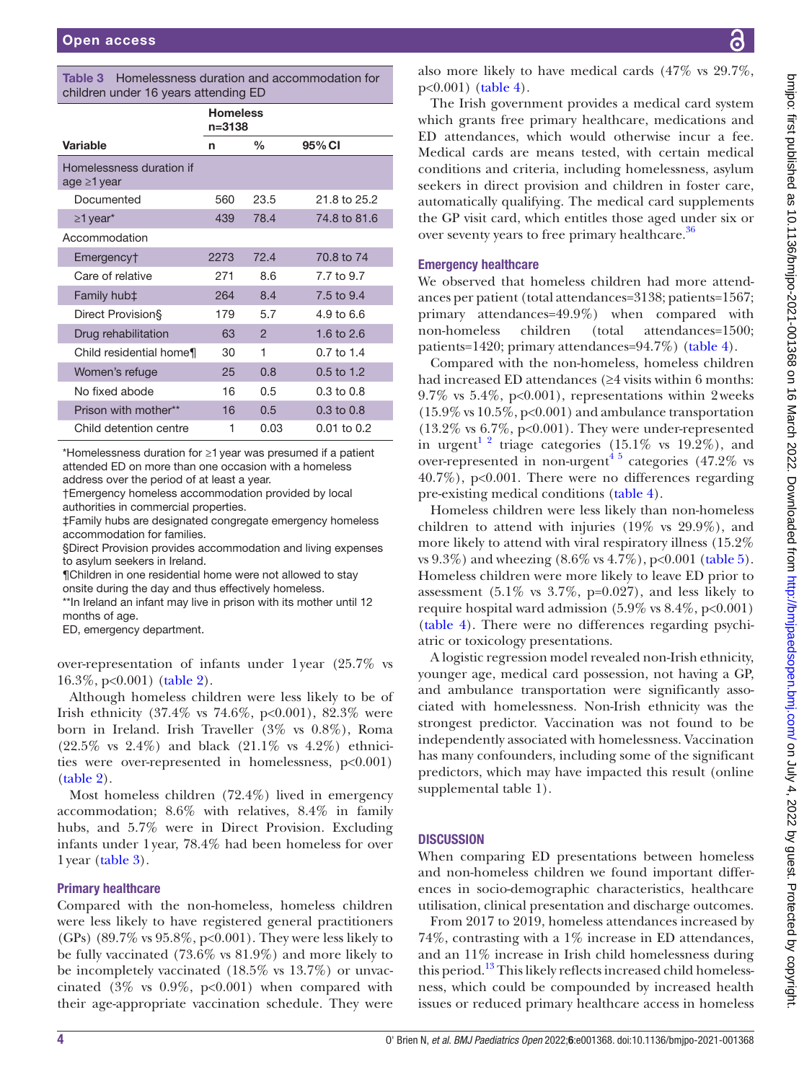| children under 16 years attending ED          |                           |               |                       |  |  |  |  |  |  |
|-----------------------------------------------|---------------------------|---------------|-----------------------|--|--|--|--|--|--|
|                                               | <b>Homeless</b><br>n=3138 |               |                       |  |  |  |  |  |  |
| Variable                                      | n                         | $\frac{0}{0}$ | 95% CI                |  |  |  |  |  |  |
| Homelessness duration if<br>age $\geq$ 1 year |                           |               |                       |  |  |  |  |  |  |
| Documented                                    | 560                       | 23.5          | 21.8 to 25.2          |  |  |  |  |  |  |
| $\geq$ 1 year*                                | 439                       | 78.4          | 74.8 to 81.6          |  |  |  |  |  |  |
| Accommodation                                 |                           |               |                       |  |  |  |  |  |  |
| Emergency†                                    | 2273                      | 72.4          | 70.8 to 74            |  |  |  |  |  |  |
| Care of relative                              | 271                       | 8.6           | 7.7 to 9.7            |  |  |  |  |  |  |
| Family hub‡                                   | 264                       | 8.4           | 7.5 to 9.4            |  |  |  |  |  |  |
| Direct Provision§                             | 179                       | 5.7           | 4.9 to 6.6            |  |  |  |  |  |  |
| Drug rehabilitation                           | 63                        | $\mathcal{P}$ | 1.6 to 2.6            |  |  |  |  |  |  |
| Child residential home¶                       | 30                        | 1             | $0.7$ to 1.4          |  |  |  |  |  |  |
| Women's refuge                                | 25                        | 0.8           | $0.5$ to 1.2          |  |  |  |  |  |  |
| No fixed abode                                | 16                        | 0.5           | $0.3 \text{ to } 0.8$ |  |  |  |  |  |  |
| Prison with mother**                          | 16                        | 0.5           | $0.3 \text{ to } 0.8$ |  |  |  |  |  |  |
| Child detention centre                        | 1                         | 0.03          | $0.01$ to $0.2$       |  |  |  |  |  |  |

<span id="page-3-0"></span>Table 3 Homelessness duration and accommodation for

\*Homelessness duration for ≥1year was presumed if a patient attended ED on more than one occasion with a homeless address over the period of at least a year.

†Emergency homeless accommodation provided by local authorities in commercial properties.

‡Family hubs are designated congregate emergency homeless accommodation for families.

§Direct Provision provides accommodation and living expenses to asylum seekers in Ireland.

¶Children in one residential home were not allowed to stay onsite during the day and thus effectively homeless.

\*\*In Ireland an infant may live in prison with its mother until 12 months of age.

ED, emergency department.

over-representation of infants under 1year (25.7% vs 16.3%, p<0.001) [\(table](#page-2-1) 2).

Although homeless children were less likely to be of Irish ethnicity (37.4% vs 74.6%, p<0.001), 82.3% were born in Ireland. Irish Traveller (3% vs 0.8%), Roma (22.5% vs 2.4%) and black (21.1% vs 4.2%) ethnicities were over-represented in homelessness, p<0.001) [\(table](#page-2-1) 2).

Most homeless children (72.4%) lived in emergency accommodation; 8.6% with relatives, 8.4% in family hubs, and 5.7% were in Direct Provision. Excluding infants under 1year, 78.4% had been homeless for over 1year [\(table](#page-3-0) 3).

#### Primary healthcare

Compared with the non-homeless, homeless children were less likely to have registered general practitioners (GPs) (89.7% vs 95.8%, p<0.001). They were less likely to be fully vaccinated (73.6% vs 81.9%) and more likely to be incompletely vaccinated (18.5% vs 13.7%) or unvaccinated (3% vs  $0.9\%$ , p<0.001) when compared with their age-appropriate vaccination schedule. They were

also more likely to have medical cards (47% vs 29.7%, p<0.001) ([table](#page-4-0) 4).

The Irish government provides a medical card system which grants free primary healthcare, medications and ED attendances, which would otherwise incur a fee. Medical cards are means tested, with certain medical conditions and criteria, including homelessness, asylum seekers in direct provision and children in foster care, automatically qualifying. The medical card supplements the GP visit card, which entitles those aged under six or over seventy years to free primary healthcare.<sup>36</sup>

#### Emergency healthcare

We observed that homeless children had more attendances per patient (total attendances=3138; patients=1567; primary attendances=49.9%) when compared with non-homeless children (total attendances=1500; patients=1420; primary attendances=94.7%) [\(table](#page-4-0) 4).

Compared with the non-homeless, homeless children had increased ED attendances (≥4 visits within 6 months: 9.7% vs 5.4%, p<0.001), representations within 2weeks (15.9% vs 10.5%, p<0.001) and ambulance transportation  $(13.2\% \text{ vs } 6.7\%, \text{ p<0.001}).$  They were under-represented in urgent<sup>[1 2](#page-6-0)</sup> triage categories (15.1% vs 19.2%), and over-represented in non-urgent<sup>45</sup> categories (47.2% vs 40.7%), p<0.001. There were no differences regarding pre-existing medical conditions [\(table](#page-4-0) 4).

Homeless children were less likely than non-homeless children to attend with injuries (19% vs 29.9%), and more likely to attend with viral respiratory illness (15.2% vs 9.3%) and wheezing (8.6% vs 4.7%), p<0.001 ([table](#page-5-0) 5). Homeless children were more likely to leave ED prior to assessment  $(5.1\% \text{ vs } 3.7\%, \text{ p=0.027})$ , and less likely to require hospital ward admission  $(5.9\% \text{ vs } 8.4\%, \text{ p} < 0.001)$ [\(table](#page-4-0) 4). There were no differences regarding psychiatric or toxicology presentations.

A logistic regression model revealed non-Irish ethnicity, younger age, medical card possession, not having a GP, and ambulance transportation were significantly associated with homelessness. Non-Irish ethnicity was the strongest predictor. Vaccination was not found to be independently associated with homelessness. Vaccination has many confounders, including some of the significant predictors, which may have impacted this result [\(online](https://dx.doi.org/10.1136/bmjpo-2021-001368) [supplemental table 1\)](https://dx.doi.org/10.1136/bmjpo-2021-001368).

## **DISCUSSION**

When comparing ED presentations between homeless and non-homeless children we found important differences in socio-demographic characteristics, healthcare utilisation, clinical presentation and discharge outcomes.

From 2017 to 2019, homeless attendances increased by 74%, contrasting with a 1% increase in ED attendances, and an 11% increase in Irish child homelessness during this period.<sup>13</sup> This likely reflects increased child homelessness, which could be compounded by increased health issues or reduced primary healthcare access in homeless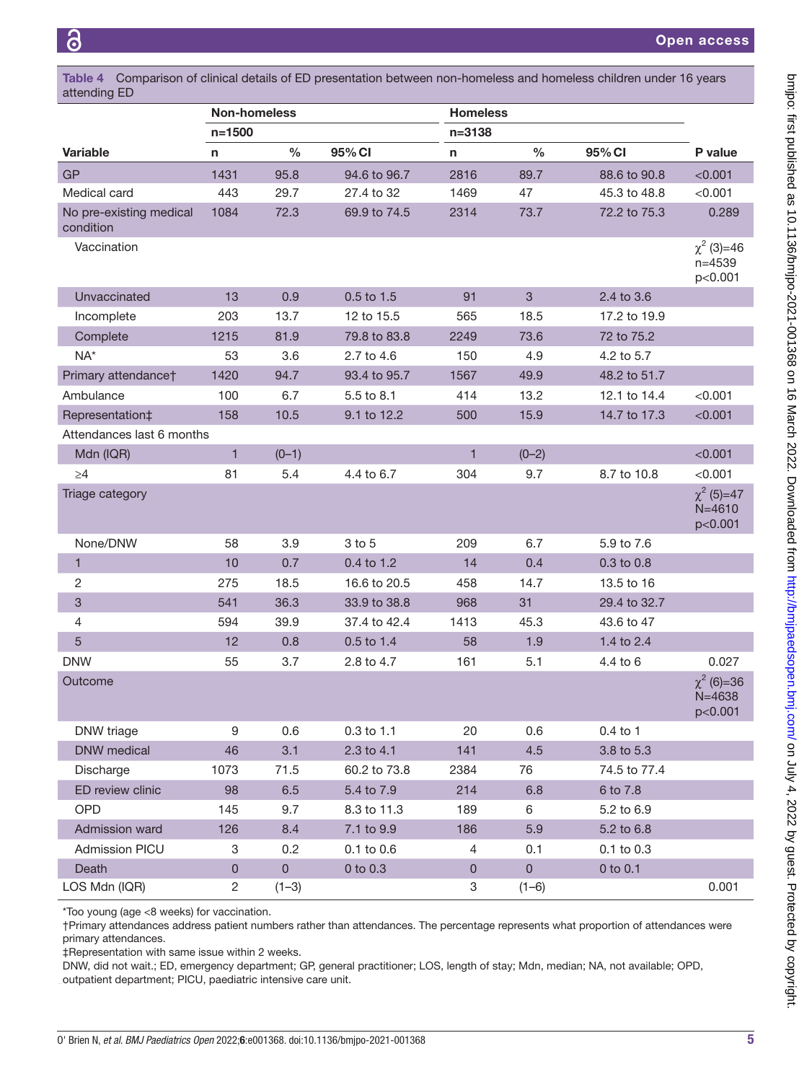<span id="page-4-0"></span>

|                                      | <b>Non-homeless</b> |                     |              | <b>Homeless</b> |                     |              |                                          |
|--------------------------------------|---------------------|---------------------|--------------|-----------------|---------------------|--------------|------------------------------------------|
|                                      | $n = 1500$          |                     |              | $n = 3138$      |                     |              |                                          |
| Variable                             | n                   | $\frac{0}{0}$       | 95% CI       | n               | $\%$                | 95% CI       | P value                                  |
| <b>GP</b>                            | 1431                | 95.8                | 94.6 to 96.7 | 2816            | 89.7                | 88.6 to 90.8 | < 0.001                                  |
| Medical card                         | 443                 | 29.7                | 27.4 to 32   | 1469            | 47                  | 45.3 to 48.8 | < 0.001                                  |
| No pre-existing medical<br>condition | 1084                | 72.3                | 69.9 to 74.5 | 2314            | 73.7                | 72.2 to 75.3 | 0.289                                    |
| Vaccination                          |                     |                     |              |                 |                     |              | $\chi^2$ (3)=46<br>$n = 4539$<br>p<0.001 |
| Unvaccinated                         | 13                  | 0.9                 | 0.5 to 1.5   | 91              | 3                   | 2.4 to 3.6   |                                          |
| Incomplete                           | 203                 | 13.7                | 12 to 15.5   | 565             | 18.5                | 17.2 to 19.9 |                                          |
| Complete                             | 1215                | 81.9                | 79.8 to 83.8 | 2249            | 73.6                | 72 to 75.2   |                                          |
| $NA^*$                               | 53                  | 3.6                 | 2.7 to 4.6   | 150             | 4.9                 | 4.2 to 5.7   |                                          |
| Primary attendance†                  | 1420                | 94.7                | 93.4 to 95.7 | 1567            | 49.9                | 48.2 to 51.7 |                                          |
| Ambulance                            | 100                 | 6.7                 | 5.5 to 8.1   | 414             | 13.2                | 12.1 to 14.4 | < 0.001                                  |
| Representation‡                      | 158                 | 10.5                | 9.1 to 12.2  | 500             | 15.9                | 14.7 to 17.3 | < 0.001                                  |
| Attendances last 6 months            |                     |                     |              |                 |                     |              |                                          |
| Mdn (IQR)                            | $\mathbf{1}$        | $(0-1)$             |              | $\mathbf{1}$    | $(0-2)$             |              | < 0.001                                  |
| $\geq 4$                             | 81                  | 5.4                 | 4.4 to 6.7   | 304             | 9.7                 | 8.7 to 10.8  | < 0.001                                  |
| Triage category                      |                     |                     |              |                 |                     |              | $\chi^2$ (5)=47<br>$N = 4610$<br>p<0.001 |
| None/DNW                             | 58                  | 3.9                 | 3 to 5       | 209             | 6.7                 | 5.9 to 7.6   |                                          |
| $\mathbf{1}$                         | 10                  | 0.7                 | 0.4 to 1.2   | 14              | 0.4                 | 0.3 to 0.8   |                                          |
| 2                                    | 275                 | 18.5                | 16.6 to 20.5 | 458             | 14.7                | 13.5 to 16   |                                          |
| 3                                    | 541                 | 36.3                | 33.9 to 38.8 | 968             | 31                  | 29.4 to 32.7 |                                          |
| $\overline{4}$                       | 594                 | 39.9                | 37.4 to 42.4 | 1413            | 45.3                | 43.6 to 47   |                                          |
| 5                                    | 12                  | 0.8                 | $0.5$ to 1.4 | 58              | 1.9                 | 1.4 to 2.4   |                                          |
| <b>DNW</b>                           | 55                  | 3.7                 | 2.8 to 4.7   | 161             | 5.1                 | 4.4 to 6     | 0.027                                    |
| Outcome                              |                     |                     |              |                 |                     |              | $\chi^2$ (6)=36<br>$N = 4638$<br>p<0.001 |
| DNW triage                           | 9                   | 0.6                 | 0.3 to 1.1   | 20              | 0.6                 | $0.4$ to 1   |                                          |
| DNW medical                          | 46                  | 3.1                 | 2.3 to 4.1   | 141             | 4.5                 | 3.8 to 5.3   |                                          |
| Discharge                            | 1073                | 71.5                | 60.2 to 73.8 | 2384            | 76                  | 74.5 to 77.4 |                                          |
| ED review clinic                     | 98                  | 6.5                 | 5.4 to 7.9   | 214             | 6.8                 | 6 to 7.8     |                                          |
| <b>OPD</b>                           | 145                 | 9.7                 | 8.3 to 11.3  | 189             | 6                   | 5.2 to 6.9   |                                          |
| Admission ward                       | 126                 | 8.4                 | 7.1 to 9.9   | 186             | 5.9                 | 5.2 to 6.8   |                                          |
| Admission PICU                       | 3                   | 0.2                 | 0.1 to 0.6   | 4               | 0.1                 | 0.1 to 0.3   |                                          |
| Death                                | $\mathsf{O}\xspace$ | $\mathsf{O}\xspace$ | 0 to 0.3     | 0               | $\mathsf{O}\xspace$ | 0 to 0.1     |                                          |
| LOS Mdn (IQR)                        | $\overline{c}$      | $(1-3)$             |              | 3               | $(1-6)$             |              | 0.001                                    |

\*Too young (age <8 weeks) for vaccination.

†Primary attendances address patient numbers rather than attendances. The percentage represents what proportion of attendances were primary attendances.

‡Representation with same issue within 2 weeks.

DNW, did not wait.; ED, emergency department; GP, general practitioner; LOS, length of stay; Mdn, median; NA, not available; OPD, outpatient department; PICU, paediatric intensive care unit.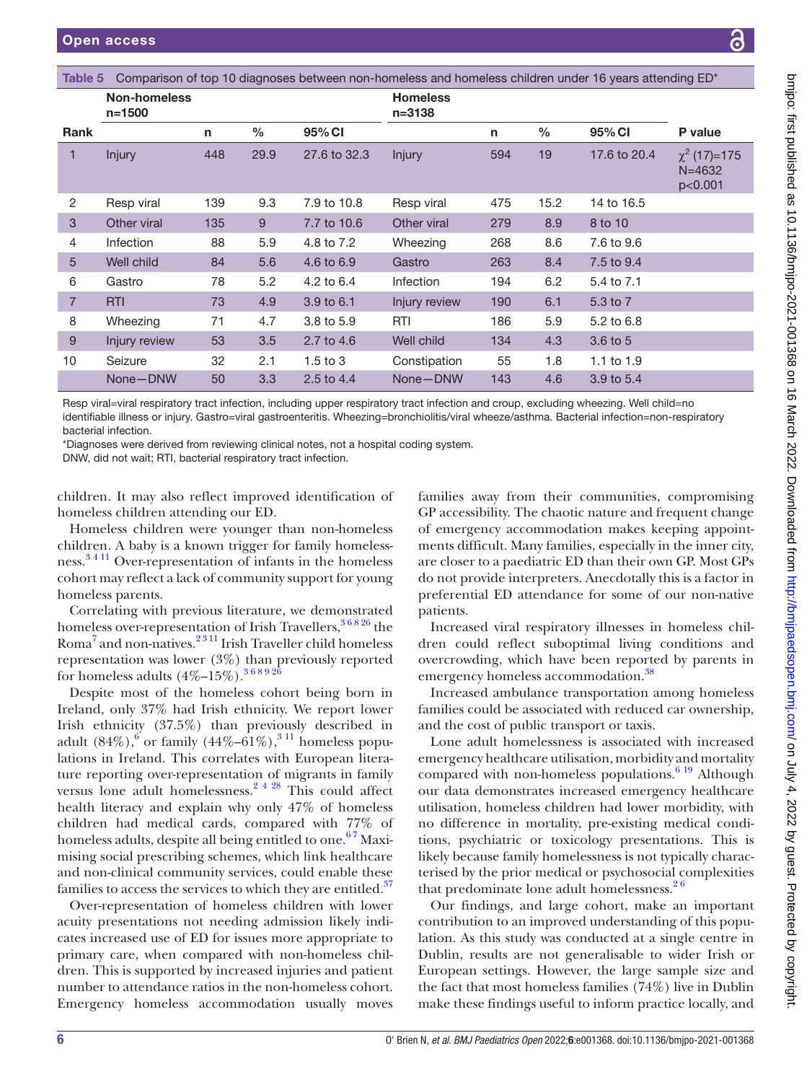| <b>neless</b><br>138 |     |               |                                                                                                                                                                                                                                                                                                                                                                                                                                                                                       |                                            |
|----------------------|-----|---------------|---------------------------------------------------------------------------------------------------------------------------------------------------------------------------------------------------------------------------------------------------------------------------------------------------------------------------------------------------------------------------------------------------------------------------------------------------------------------------------------|--------------------------------------------|
|                      | n   | $\frac{0}{0}$ | 95% CI                                                                                                                                                                                                                                                                                                                                                                                                                                                                                | P value                                    |
| V                    | 594 | 19            | 17.6 to 20.4                                                                                                                                                                                                                                                                                                                                                                                                                                                                          | $\chi^2$ (17)=175<br>$N = 4632$<br>p<0.001 |
| o viral              | 475 | 15.2          | 14 to 16.5                                                                                                                                                                                                                                                                                                                                                                                                                                                                            |                                            |
| er viral             | 279 | 8.9           | 8 to 10                                                                                                                                                                                                                                                                                                                                                                                                                                                                               |                                            |
| ezing                | 268 | 8.6           | 7.6 to 9.6                                                                                                                                                                                                                                                                                                                                                                                                                                                                            |                                            |
| tro                  | 263 | 8.4           | 7.5 to 9.4                                                                                                                                                                                                                                                                                                                                                                                                                                                                            |                                            |
| ction                | 194 | 6.2           | 5.4 to 7.1                                                                                                                                                                                                                                                                                                                                                                                                                                                                            |                                            |
| y review             | 190 | 6.1           | 5.3 to 7                                                                                                                                                                                                                                                                                                                                                                                                                                                                              |                                            |
|                      | 186 | 5.9           | 5.2 to 6.8                                                                                                                                                                                                                                                                                                                                                                                                                                                                            |                                            |
| child                | 134 | 4.3           | 3.6 to 5                                                                                                                                                                                                                                                                                                                                                                                                                                                                              |                                            |
| stipation            | 55  | 1.8           | 1.1 to 1.9                                                                                                                                                                                                                                                                                                                                                                                                                                                                            |                                            |
| e-DNW                | 143 | 4.6           | 3.9 to 5.4                                                                                                                                                                                                                                                                                                                                                                                                                                                                            |                                            |
| ling system.         |     |               | ct infection and croup, excluding wheezing. Well child=no<br>hiolitis/viral wheeze/asthma. Bacterial infection=non-respiratory                                                                                                                                                                                                                                                                                                                                                        |                                            |
| patients.            |     |               | families away from their communities, compromising<br>GP accessibility. The chaotic nature and frequent change<br>of emergency accommodation makes keeping appoint-<br>ments difficult. Many families, especially in the inner city,<br>are closer to a paediatric ED than their own GP. Most GPs<br>do not provide interpreters. Anecdotally this is a factor in<br>preferential ED attendance for some of our non-native<br>Increased viral respiratory illnesses in homeless chil- |                                            |
|                      |     |               | dren could reflect suboptimal living conditions and                                                                                                                                                                                                                                                                                                                                                                                                                                   |                                            |
|                      |     |               | executing which have been reported by perents in                                                                                                                                                                                                                                                                                                                                                                                                                                      |                                            |

dren could reflect overcrowding, which have been reported by parents in emergency homeless accommodation.<sup>38</sup> Increased ambulance transportation among homeless

families could be associated with reduced car ownership, and the cost of public transport or taxis.

Lone adult homelessness is associated with increased emergency healthcare utilisation, morbidity and mortality compared with non-homeless populations.<sup>6 19</sup> Although our data demonstrates increased emergency healthcare utilisation, homeless children had lower morbidity, with no difference in mortality, pre-existing medical conditions, psychiatric or toxicology presentations. This is likely because family homelessness is not typically characterised by the prior medical or psychosocial complexities that predominate lone adult homelessness. $26$ 

Our findings, and large cohort, make an important contribution to an improved understanding of this population. As this study was conducted at a single centre in Dublin, results are not generalisable to wider Irish or European settings. However, the large sample size and the fact that most homeless families (74%) live in Dublin make these findings useful to inform practice locally, and

|                | <b>Non-homeless</b><br>$n = 1500$ |     |               |              | <b>Homeless</b><br>$n = 3138$ |     |               |              |                                            |
|----------------|-----------------------------------|-----|---------------|--------------|-------------------------------|-----|---------------|--------------|--------------------------------------------|
| <b>Rank</b>    |                                   | n   | $\frac{0}{0}$ | 95% CI       |                               | n   | $\frac{0}{0}$ | 95% CI       | P value                                    |
|                | Injury                            | 448 | 29.9          | 27.6 to 32.3 | Injury                        | 594 | 19            | 17.6 to 20.4 | $\chi^2$ (17)=175<br>$N = 4632$<br>p<0.001 |
| 2              | Resp viral                        | 139 | 9.3           | 7.9 to 10.8  | Resp viral                    | 475 | 15.2          | 14 to 16.5   |                                            |
| 3              | Other viral                       | 135 | 9             | 7.7 to 10.6  | Other viral                   | 279 | 8.9           | 8 to 10      |                                            |
| 4              | Infection                         | 88  | 5.9           | 4.8 to 7.2   | Wheezing                      | 268 | 8.6           | 7.6 to 9.6   |                                            |
| 5              | Well child                        | 84  | 5.6           | 4.6 to 6.9   | Gastro                        | 263 | 8.4           | 7.5 to 9.4   |                                            |
| 6              | Gastro                            | 78  | 5.2           | 4.2 to 6.4   | <b>Infection</b>              | 194 | 6.2           | 5.4 to 7.1   |                                            |
| $\overline{7}$ | <b>RTI</b>                        | 73  | 4.9           | 3.9 to $6.1$ | Injury review                 | 190 | 6.1           | 5.3 to 7     |                                            |
| 8              | Wheezing                          | 71  | 4.7           | 3.8 to 5.9   | <b>RTI</b>                    | 186 | 5.9           | 5.2 to 6.8   |                                            |
| 9              | Injury review                     | 53  | 3.5           | 2.7 to $4.6$ | Well child                    | 134 | 4.3           | $3.6$ to 5   |                                            |
| 10             | Seizure                           | 32  | 2.1           | $1.5$ to $3$ | Constipation                  | 55  | 1.8           | 1.1 to 1.9   |                                            |
|                | None-DNW                          | 50  | 3.3           | 2.5 to 4.4   | None-DNW                      | 143 | 4.6           | 3.9 to 5.4   |                                            |

Resp viral=viral respiratory tract infection, including upper respiratory tract infection and croup, exidentifiable illness or injury. Gastro=viral gastroenteritis. Wheezing=bronchiolitis/viral wheeze/asth bacterial infection.

\*Diagnoses were derived from reviewing clinical notes, not a hospital coding system.

<span id="page-5-0"></span>Table 5 Comparison of top 10 diagnoses between non-homeless and homeless children under 16 years at the 16 years at the 16 years and the 16 years at the 16 years at the 16 years at the 16 years at the 16 years at the 16 ye

DNW, did not wait; RTI, bacterial respiratory tract infection.

children. It may also reflect improved identification of homeless children attending our ED.

Homeless children were younger than non-homeless children. A baby is a known trigger for family homelessness.<sup>3411</sup> Over-representation of infants in the homeless cohort may reflect a lack of community support for young homeless parents.

Correlating with previous literature, we demonstrated homeless over-representation of Irish Travellers,  $36826$  the Roma<sup>[7](#page-6-8)</sup> and non-natives.<sup>2311</sup> Irish Traveller child homeless representation was lower (3%) than previously reported for homeless adults  $(4\%-15\%)$ .<sup>368926</sup>

Despite most of the homeless cohort being born in Ireland, only 37% had Irish ethnicity. We report lower Irish ethnicity (37.5%) than previously described in adult  $(84\%)$ , or family  $(44\% - 61\%)$  $(44\% - 61\%)$  $(44\% - 61\%)$ ,  $3^{11}$  homeless populations in Ireland. This correlates with European literature reporting over-representation of migrants in family versus lone adult homelessness.[2 4 28](#page-6-1) This could affect health literacy and explain why only 47% of homeless children had medical cards, compared with 77% of homeless adults, despite all being entitled to one.<sup>67</sup> Maximising social prescribing schemes, which link healthcare and non-clinical community services, could enable these families to access the services to which they are entitled.<sup>[37](#page-7-12)</sup>

Over-representation of homeless children with lower acuity presentations not needing admission likely indicates increased use of ED for issues more appropriate to primary care, when compared with non-homeless children. This is supported by increased injuries and patient number to attendance ratios in the non-homeless cohort. Emergency homeless accommodation usually moves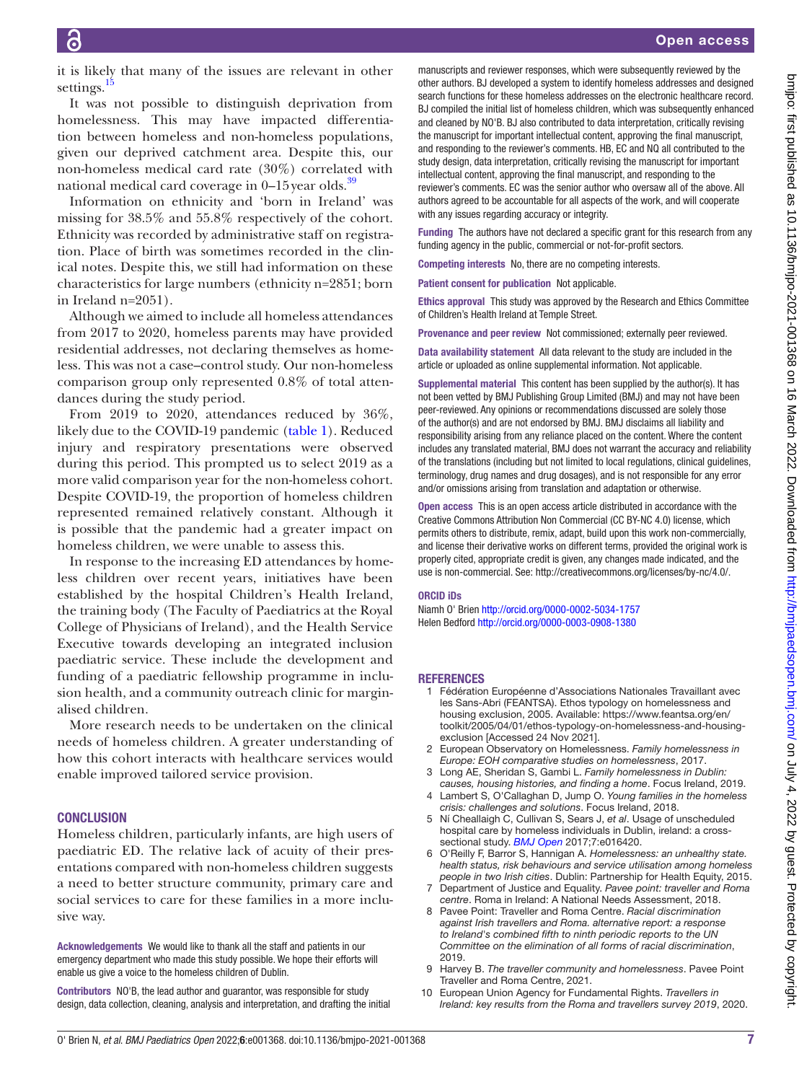it is likely that many of the issues are relevant in other settings.

It was not possible to distinguish deprivation from homelessness. This may have impacted differentiation between homeless and non-homeless populations, given our deprived catchment area. Despite this, our non-homeless medical card rate (30%) correlated with national medical card coverage in  $0-15$  year olds.<sup>[39](#page-7-14)</sup>

Information on ethnicity and 'born in Ireland' was missing for 38.5% and 55.8% respectively of the cohort. Ethnicity was recorded by administrative staff on registration. Place of birth was sometimes recorded in the clinical notes. Despite this, we still had information on these characteristics for large numbers (ethnicity n=2851; born in Ireland n=2051).

Although we aimed to include all homeless attendances from 2017 to 2020, homeless parents may have provided residential addresses, not declaring themselves as homeless. This was not a case–control study. Our non-homeless comparison group only represented 0.8% of total attendances during the study period.

From 2019 to 2020, attendances reduced by 36%, likely due to the COVID-19 pandemic [\(table](#page-2-0) 1). Reduced injury and respiratory presentations were observed during this period. This prompted us to select 2019 as a more valid comparison year for the non-homeless cohort. Despite COVID-19, the proportion of homeless children represented remained relatively constant. Although it is possible that the pandemic had a greater impact on homeless children, we were unable to assess this.

In response to the increasing ED attendances by homeless children over recent years, initiatives have been established by the hospital Children's Health Ireland, the training body (The Faculty of Paediatrics at the Royal College of Physicians of Ireland), and the Health Service Executive towards developing an integrated inclusion paediatric service. These include the development and funding of a paediatric fellowship programme in inclusion health, and a community outreach clinic for marginalised children.

More research needs to be undertaken on the clinical needs of homeless children. A greater understanding of how this cohort interacts with healthcare services would enable improved tailored service provision.

#### **CONCLUSION**

Homeless children, particularly infants, are high users of paediatric ED. The relative lack of acuity of their presentations compared with non-homeless children suggests a need to better structure community, primary care and social services to care for these families in a more inclusive way.

Acknowledgements We would like to thank all the staff and patients in our emergency department who made this study possible. We hope their efforts will enable us give a voice to the homeless children of Dublin.

Contributors NO'B, the lead author and guarantor, was responsible for study design, data collection, cleaning, analysis and interpretation, and drafting the initial

manuscripts and reviewer responses, which were subsequently reviewed by the other authors. BJ developed a system to identify homeless addresses and designed search functions for these homeless addresses on the electronic healthcare record. BJ compiled the initial list of homeless children, which was subsequently enhanced and cleaned by NO'B. BJ also contributed to data interpretation, critically revising the manuscript for important intellectual content, approving the final manuscript, and responding to the reviewer's comments. HB, EC and NQ all contributed to the study design, data interpretation, critically revising the manuscript for important intellectual content, approving the final manuscript, and responding to the reviewer's comments. EC was the senior author who oversaw all of the above. All authors agreed to be accountable for all aspects of the work, and will cooperate with any issues regarding accuracy or integrity.

Funding The authors have not declared a specific grant for this research from any funding agency in the public, commercial or not-for-profit sectors.

Competing interests No, there are no competing interests.

Patient consent for publication Not applicable.

Ethics approval This study was approved by the Research and Ethics Committee of Children's Health Ireland at Temple Street.

Provenance and peer review Not commissioned; externally peer reviewed.

Data availability statement All data relevant to the study are included in the article or uploaded as online supplemental information. Not applicable.

Supplemental material This content has been supplied by the author(s). It has not been vetted by BMJ Publishing Group Limited (BMJ) and may not have been peer-reviewed. Any opinions or recommendations discussed are solely those of the author(s) and are not endorsed by BMJ. BMJ disclaims all liability and responsibility arising from any reliance placed on the content. Where the content includes any translated material, BMJ does not warrant the accuracy and reliability of the translations (including but not limited to local regulations, clinical guidelines, terminology, drug names and drug dosages), and is not responsible for any error and/or omissions arising from translation and adaptation or otherwise.

Open access This is an open access article distributed in accordance with the Creative Commons Attribution Non Commercial (CC BY-NC 4.0) license, which permits others to distribute, remix, adapt, build upon this work non-commercially, and license their derivative works on different terms, provided the original work is properly cited, appropriate credit is given, any changes made indicated, and the use is non-commercial. See:<http://creativecommons.org/licenses/by-nc/4.0/>.

#### ORCID iDs

Niamh O' Brien <http://orcid.org/0000-0002-5034-1757> Helen Bedford <http://orcid.org/0000-0003-0908-1380>

#### REFERENCES

- <span id="page-6-0"></span>1 Fédération Européenne d'Associations Nationales Travaillant avec les Sans-Abri (FEANTSA). Ethos typology on homelessness and housing exclusion, 2005. Available: [https://www.feantsa.org/en/](https://www.feantsa.org/en/toolkit/2005/04/01/ethos-typology-on-homelessness-and-housing-exclusion) [toolkit/2005/04/01/ethos-typology-on-homelessness-and-housing](https://www.feantsa.org/en/toolkit/2005/04/01/ethos-typology-on-homelessness-and-housing-exclusion)[exclusion](https://www.feantsa.org/en/toolkit/2005/04/01/ethos-typology-on-homelessness-and-housing-exclusion) [Accessed 24 Nov 2021].
- <span id="page-6-1"></span>2 European Observatory on Homelessness. *Family homelessness in Europe: EOH comparative studies on homelessness*, 2017.
- <span id="page-6-3"></span>3 Long AE, Sheridan S, Gambi L. *Family homelessness in Dublin: causes, housing histories, and finding a home*. Focus Ireland, 2019.
- <span id="page-6-7"></span>4 Lambert S, O'Callaghan D, Jump O. *Young families in the homeless crisis: challenges and solutions*. Focus Ireland, 2018.
- <span id="page-6-2"></span>5 Ní Cheallaigh C, Cullivan S, Sears J, *et al*. Usage of unscheduled hospital care by homeless individuals in Dublin, ireland: a crosssectional study. *[BMJ Open](http://dx.doi.org/10.1136/bmjopen-2017-016420)* 2017;7:e016420.
- <span id="page-6-6"></span>6 O'Reilly F, Barror S, Hannigan A. *Homelessness: an unhealthy state. health status, risk behaviours and service utilisation among homeless people in two Irish cities*. Dublin: Partnership for Health Equity, 2015.
- <span id="page-6-8"></span>7 Department of Justice and Equality. *Pavee point: traveller and Roma centre*. Roma in Ireland: A National Needs Assessment, 2018.
- <span id="page-6-4"></span>8 Pavee Point: Traveller and Roma Centre. *Racial discrimination against Irish travellers and Roma. alternative report: a response to Ireland's combined fifth to ninth periodic reports to the UN Committee on the elimination of all forms of racial discrimination*, 2019.
- <span id="page-6-5"></span>9 Harvey B. *The traveller community and homelessness*. Pavee Point Traveller and Roma Centre, 2021.
- 10 European Union Agency for Fundamental Rights. *Travellers in Ireland: key results from the Roma and travellers survey 2019*, 2020.